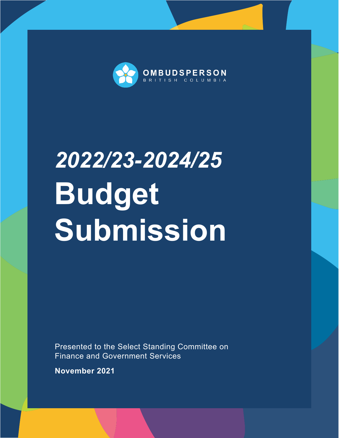

# *2022/23-2024/25* **Budget Submission**

Presented to the Select Standing Committee on Finance and Government Services

**November 2021**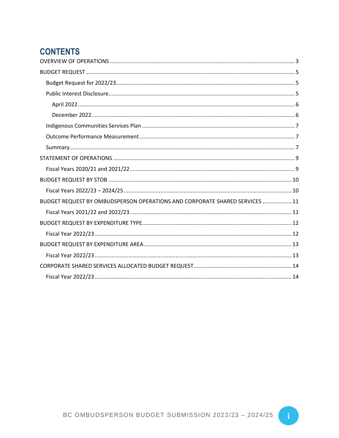# **CONTENTS**

| BUDGET REQUEST BY OMBUDSPERSON OPERATIONS AND CORPORATE SHARED SERVICES  11 |
|-----------------------------------------------------------------------------|
|                                                                             |
|                                                                             |
|                                                                             |
|                                                                             |
|                                                                             |
|                                                                             |
|                                                                             |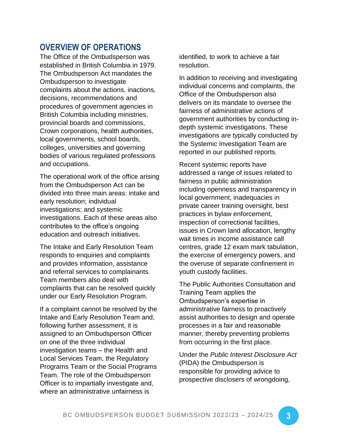### <span id="page-4-0"></span>**OVERVIEW OF OPERATIONS**

The Office of the Ombudsperson was established in British Columbia in 1979. The Ombudsperson Act mandates the Ombudsperson to investigate complaints about the actions, inactions, decisions, recommendations and procedures of government agencies in British Columbia including ministries, provincial boards and commissions, Crown corporations, health authorities, local governments, school boards, colleges, universities and governing bodies of various regulated professions and occupations.

The operational work of the office arising from the Ombudsperson Act can be divided into three main areas: intake and early resolution; individual investigations; and systemic investigations. Each of these areas also contributes to the office's ongoing education and outreach initiatives.

The Intake and Early Resolution Team responds to enquiries and complaints and provides information, assistance and referral services to complainants. Team members also deal with complaints that can be resolved quickly under our Early Resolution Program.

If a complaint cannot be resolved by the Intake and Early Resolution Team and, following further assessment, it is assigned to an Ombudsperson Officer on one of the three individual investigation teams – the Health and Local Services Team, the Regulatory Programs Team or the Social Programs Team. The role of the Ombudsperson Officer is to impartially investigate and, where an administrative unfairness is

identified, to work to achieve a fair resolution.

In addition to receiving and investigating individual concerns and complaints, the Office of the Ombudsperson also delivers on its mandate to oversee the fairness of administrative actions of government authorities by conducting indepth systemic investigations. These investigations are typically conducted by the Systemic Investigation Team are reported in our published reports.

Recent systemic reports have addressed a range of issues related to fairness in public administration including openness and transparency in local government, inadequacies in private career training oversight, best practices in bylaw enforcement, inspection of correctional facilities, issues in Crown land allocation, lengthy wait times in income assistance call centres, grade 12 exam mark tabulation, the exercise of emergency powers, and the overuse of separate confinement in youth custody facilities.

The Public Authorities Consultation and Training Team applies the Ombudsperson's expertise in administrative fairness to proactively assist authorities to design and operate processes in a fair and reasonable manner, thereby preventing problems from occurring in the first place.

Under the *Public Interest Disclosure Act* (PIDA) the Ombudsperson is responsible for providing advice to prospective disclosers of wrongdoing,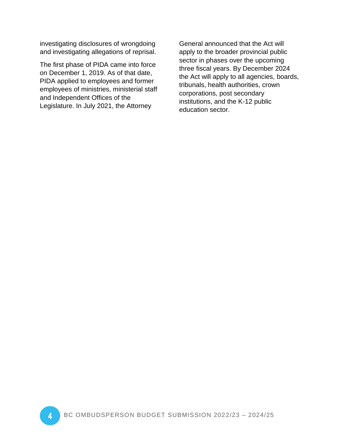investigating disclosures of wrongdoing and investigating allegations of reprisal.

The first phase of PIDA came into force on December 1, 2019. As of that date, PIDA applied to employees and former employees of ministries, ministerial staff and Independent Offices of the Legislature. In July 2021, the Attorney

General announced that the Act will apply to the broader provincial public sector in phases over the upcoming three fiscal years. By December 2024 the Act will apply to all agencies, boards, tribunals, health authorities, crown corporations, post secondary institutions, and the K-12 public education sector.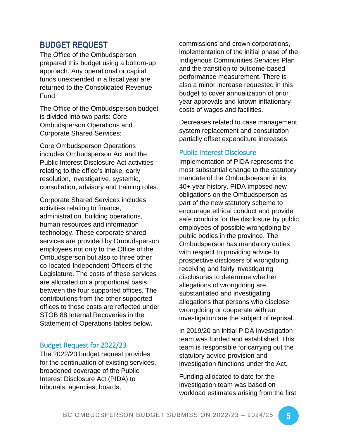#### <span id="page-6-0"></span>**BUDGET REQUEST**

The Office of the Ombudsperson prepared this budget using a bottom-up approach. Any operational or capital funds unexpended in a fiscal year are returned to the Consolidated Revenue Fund.

The Office of the Ombudsperson budget is divided into two parts: Core Ombudsperson Operations and Corporate Shared Services:

Core Ombudsperson Operations includes Ombudsperson Act and the Public Interest Disclosure Act activities relating to the office's intake, early resolution, investigative, systemic, consultation, advisory and training roles.

Corporate Shared Services includes activities relating to finance, administration, building operations, human resources and information technology. These corporate shared services are provided by Ombudsperson employees not only to the Office of the Ombudsperson but also to three other co-located Independent Officers of the Legislature. The costs of these services are allocated on a proportional basis between the four supported offices. The contributions from the other supported offices to these costs are reflected under STOB 88 Internal Recoveries in the Statement of Operations tables below**.**

#### <span id="page-6-1"></span>Budget Request for 2022/23

The 2022/23 budget request provides for the continuation of existing services, broadened coverage of the Public Interest Disclosure Act (PIDA) to tribunals, agencies, boards,

commissions and crown corporations, implementation of the initial phase of the Indigenous Communities Services Plan and the transition to outcome-based performance measurement. There is also a minor increase requested in this budget to cover annualization of prior year approvals and known inflationary costs of wages and facilities.

Decreases related to case management system replacement and consultation partially offset expenditure increases.

#### <span id="page-6-2"></span>Public Interest Disclosure

Implementation of PIDA represents the most substantial change to the statutory mandate of the Ombudsperson in its 40+ year history. PIDA imposed new obligations on the Ombudsperson as part of the new statutory scheme to encourage ethical conduct and provide safe conduits for the disclosure by public employees of possible wrongdoing by public bodies in the province. The Ombudsperson has mandatory duties with respect to providing advice to prospective disclosers of wrongdoing, receiving and fairly investigating disclosures to determine whether allegations of wrongdoing are substantiated and investigating allegations that persons who disclose wrongdoing or cooperate with an investigation are the subject of reprisal.

In 2019/20 an initial PIDA investigation team was funded and established. This team is responsible for carrying out the statutory advice-provision and investigation functions under the Act.

Funding allocated to date for the investigation team was based on workload estimates arising from the first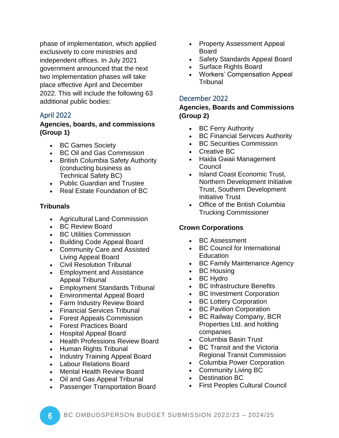phase of implementation, which applied exclusively to core ministries and independent offices. In July 2021 government announced that the next two implementation phases will take place effective April and December 2022. This will include the following 63 additional public bodies:

#### <span id="page-7-0"></span>April 2022

#### **Agencies, boards, and commissions (Group 1)**

- BC Games Society
- BC Oil and Gas Commission
- British Columbia Safety Authority (conducting business as Technical Safety BC)
- Public Guardian and Trustee
- Real Estate Foundation of BC

#### **Tribunals**

- Agricultural Land Commission
- BC Review Board
- BC Utilities Commission
- Building Code Appeal Board
- Community Care and Assisted Living Appeal Board
- Civil Resolution Tribunal
- Employment and Assistance Appeal Tribunal
- Employment Standards Tribunal
- Environmental Appeal Board
- Farm Industry Review Board
- Financial Services Tribunal
- Forest Appeals Commission
- Forest Practices Board
- Hospital Appeal Board
- Health Professions Review Board
- Human Rights Tribunal
- Industry Training Appeal Board
- Labour Relations Board
- Mental Health Review Board
- Oil and Gas Appeal Tribunal
- Passenger Transportation Board
- Property Assessment Appeal Board
- Safety Standards Appeal Board
- Surface Rights Board
- Workers' Compensation Appeal **Tribunal**

#### <span id="page-7-1"></span>December 2022

#### **Agencies, Boards and Commissions (Group 2)**

- BC Ferry Authority
- BC Financial Services Authority
- BC Securities Commission
- Creative BC
- Haida Gwaii Management Council
- Island Coast Economic Trust, Northern Development Initiative Trust, Southern Development Initiative Trust
- Office of the British Columbia Trucking Commissioner

#### **Crown Corporations**

- BC Assessment
- BC Council for International Education
- BC Family Maintenance Agency
- BC Housing
- BC Hydro
- BC Infrastructure Benefits
- BC Investment Corporation
- BC Lottery Corporation
- BC Pavilion Corporation
- BC Railway Company, BCR Properties Ltd. and holding companies
- Columbia Basin Trust
- BC Transit and the Victoria Regional Transit Commission
- Columbia Power Corporation
- Community Living BC
- Destination BC
- First Peoples Cultural Council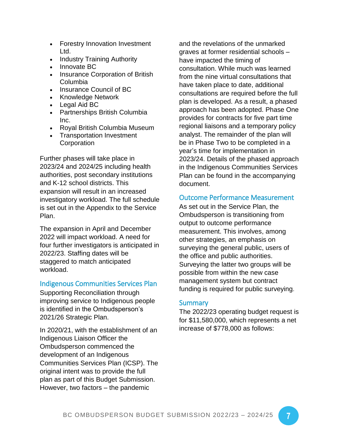- Forestry Innovation Investment Ltd.
- Industry Training Authority
- Innovate BC
- Insurance Corporation of British Columbia
- Insurance Council of BC
- Knowledge Network
- Legal Aid BC
- Partnerships British Columbia Inc.
- Royal British Columbia Museum
- Transportation Investment **Corporation**

Further phases will take place in 2023/24 and 2024/25 including health authorities, post secondary institutions and K-12 school districts. This expansion will result in an increased investigatory workload. The full schedule is set out in the Appendix to the Service Plan.

The expansion in April and December 2022 will impact workload. A need for four further investigators is anticipated in 2022/23. Staffing dates will be staggered to match anticipated workload.

#### <span id="page-8-0"></span>Indigenous Communities Services Plan

Supporting Reconciliation through improving service to Indigenous people is identified in the Ombudsperson's 2021/26 Strategic Plan.

In 2020/21, with the establishment of an Indigenous Liaison Officer the Ombudsperson commenced the development of an Indigenous Communities Services Plan (ICSP). The original intent was to provide the full plan as part of this Budget Submission. However, two factors – the pandemic

and the revelations of the unmarked graves at former residential schools – have impacted the timing of consultation. While much was learned from the nine virtual consultations that have taken place to date, additional consultations are required before the full plan is developed. As a result, a phased approach has been adopted. Phase One provides for contracts for five part time regional liaisons and a temporary policy analyst. The remainder of the plan will be in Phase Two to be completed in a year's time for implementation in 2023/24. Details of the phased approach in the Indigenous Communities Services Plan can be found in the accompanying document.

#### <span id="page-8-1"></span>Outcome Performance Measurement

As set out in the Service Plan, the Ombudsperson is transitioning from output to outcome performance measurement. This involves, among other strategies, an emphasis on surveying the general public, users of the office and public authorities. Surveying the latter two groups will be possible from within the new case management system but contract funding is required for public surveying.

#### <span id="page-8-2"></span>**Summary**

The 2022/23 operating budget request is for \$11,580,000, which represents a net increase of \$778,000 as follows: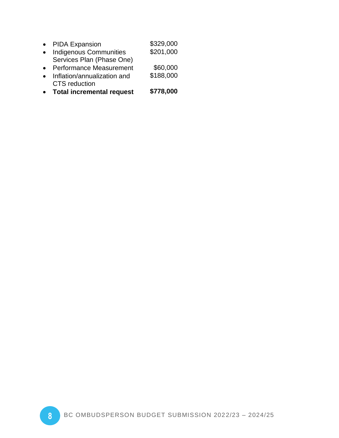| • PIDA Expansion          | \$329,000 |
|---------------------------|-----------|
| • Indigenous Communities  | \$201,000 |
| Services Plan (Phase One) |           |

- Performance Measurement \$60,000
- Inflation/annualization and CTS reduction \$188,000
- **Total incremental request \$778,000**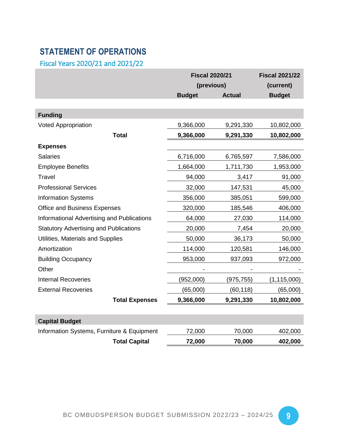## <span id="page-10-0"></span>**STATEMENT OF OPERATIONS**

<span id="page-10-1"></span>Fiscal Years 2020/21 and 2021/22

|                                               | <b>Fiscal 2020/21</b> | <b>Fiscal 2021/22</b> |               |
|-----------------------------------------------|-----------------------|-----------------------|---------------|
|                                               | (previous)            | (current)             |               |
|                                               | <b>Budget</b>         | <b>Actual</b>         | <b>Budget</b> |
|                                               |                       |                       |               |
| <b>Funding</b>                                |                       |                       |               |
| <b>Voted Appropriation</b>                    | 9,366,000             | 9,291,330             | 10,802,000    |
| <b>Total</b>                                  | 9,366,000             | 9,291,330             | 10,802,000    |
| <b>Expenses</b>                               |                       |                       |               |
| <b>Salaries</b>                               | 6,716,000             | 6,765,597             | 7,586,000     |
| <b>Employee Benefits</b>                      | 1,664,000             | 1,711,730             | 1,953,000     |
| Travel                                        | 94,000                | 3,417                 | 91,000        |
| <b>Professional Services</b>                  | 32,000                | 147,531               | 45,000        |
| <b>Information Systems</b>                    | 356,000               | 385,051               | 599,000       |
| Office and Business Expenses                  | 320,000               | 185,546               | 406,000       |
| Informational Advertising and Publications    | 64,000                | 27,030                | 114,000       |
| <b>Statutory Advertising and Publications</b> | 20,000                | 7,454                 | 20,000        |
| Utilities, Materials and Supplies             | 50,000                | 36,173                | 50,000        |
| Amortization                                  | 114,000               | 120,581               | 146,000       |
| <b>Building Occupancy</b>                     | 953,000               | 937,093               | 972,000       |
| Other                                         |                       |                       |               |
| <b>Internal Recoveries</b>                    | (952,000)             | (975, 755)            | (1, 115, 000) |
| <b>External Recoveries</b>                    | (65,000)              | (60, 118)             | (65,000)      |
| <b>Total Expenses</b>                         | 9,366,000             | 9,291,330             | 10,802,000    |
|                                               |                       |                       |               |
| <b>Capital Budget</b>                         |                       |                       |               |
| Information Systems, Furniture & Equipment    | 72,000                | 70,000                | 402,000       |
| <b>Total Capital</b>                          | 72,000                | 70,000                | 402,000       |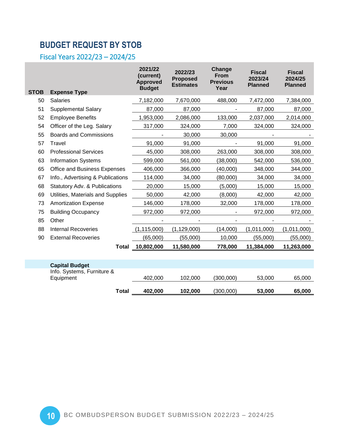# <span id="page-11-0"></span>**BUDGET REQUEST BY STOB**

<span id="page-11-1"></span>Fiscal Years 2022/23 – 2024/25

|             |                                     | 2021/22<br>(current)<br><b>Approved</b><br><b>Budget</b> | 2022/23<br><b>Proposed</b><br><b>Estimates</b> | Change<br><b>From</b><br><b>Previous</b><br>Year | <b>Fiscal</b><br>2023/24<br><b>Planned</b> | <b>Fiscal</b><br>2024/25<br><b>Planned</b> |
|-------------|-------------------------------------|----------------------------------------------------------|------------------------------------------------|--------------------------------------------------|--------------------------------------------|--------------------------------------------|
| <b>STOB</b> | <b>Expense Type</b>                 |                                                          |                                                |                                                  |                                            |                                            |
| 50          | <b>Salaries</b>                     | 7,182,000                                                | 7,670,000                                      | 488,000                                          | 7,472,000                                  | 7,384,000                                  |
| 51          | <b>Supplemental Salary</b>          | 87,000                                                   | 87,000                                         |                                                  | 87,000                                     | 87,000                                     |
| 52          | <b>Employee Benefits</b>            | 1,953,000                                                | 2,086,000                                      | 133,000                                          | 2,037,000                                  | 2,014,000                                  |
| 54          | Officer of the Leg. Salary          | 317,000                                                  | 324,000                                        | 7,000                                            | 324,000                                    | 324,000                                    |
| 55          | <b>Boards and Commissions</b>       |                                                          | 30,000                                         | 30,000                                           |                                            |                                            |
| 57          | Travel                              | 91,000                                                   | 91,000                                         |                                                  | 91,000                                     | 91,000                                     |
| 60          | <b>Professional Services</b>        | 45,000                                                   | 308,000                                        | 263,000                                          | 308,000                                    | 308,000                                    |
| 63          | <b>Information Systems</b>          | 599,000                                                  | 561,000                                        | (38,000)                                         | 542,000                                    | 536,000                                    |
| 65          | <b>Office and Business Expenses</b> | 406,000                                                  | 366,000                                        | (40,000)                                         | 348,000                                    | 344,000                                    |
| 67          | Info., Advertising & Publications   | 114,000                                                  | 34,000                                         | (80,000)                                         | 34,000                                     | 34,000                                     |
| 68          | Statutory Adv. & Publications       | 20,000                                                   | 15,000                                         | (5,000)                                          | 15,000                                     | 15,000                                     |
| 69          | Utilities, Materials and Supplies   | 50,000                                                   | 42,000                                         | (8,000)                                          | 42,000                                     | 42,000                                     |
| 73          | <b>Amortization Expense</b>         | 146,000                                                  | 178,000                                        | 32,000                                           | 178,000                                    | 178,000                                    |
| 75          | <b>Building Occupancy</b>           | 972,000                                                  | 972,000                                        |                                                  | 972,000                                    | 972,000                                    |
| 85          | Other                               |                                                          |                                                |                                                  |                                            |                                            |
| 88          | <b>Internal Recoveries</b>          | (1, 115, 000)                                            | (1, 129, 000)                                  | (14,000)                                         | (1,011,000)                                | (1,011,000)                                |
| 90          | <b>External Recoveries</b>          | (65,000)                                                 | (55,000)                                       | 10,000                                           | (55,000)                                   | (55,000)                                   |
|             | <b>Total</b>                        | 10,802,000                                               | 11,580,000                                     | 778,000                                          | 11,384,000                                 | 11,263,000                                 |
|             |                                     |                                                          |                                                |                                                  |                                            |                                            |
|             | <b>Capital Budget</b>               |                                                          |                                                |                                                  |                                            |                                            |

|                            | Total | 402.000 | 102,000 | (300,000) | 53,000 | 65,000 |
|----------------------------|-------|---------|---------|-----------|--------|--------|
| Equipment                  |       | 402.000 | 102.000 | (300.000) | 53,000 | 65,000 |
| Info. Systems, Furniture & |       |         |         |           |        |        |
|                            |       |         |         |           |        |        |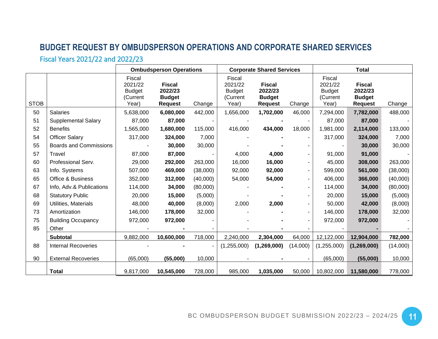# **BUDGET REQUEST BY OMBUDSPERSON OPERATIONS AND CORPORATE SHARED SERVICES**

# Fiscal Years 2021/22 and 2022/23

<span id="page-12-1"></span><span id="page-12-0"></span>

|             |                               |                                                         | <b>Ombudsperson Operations</b>                              |          | <b>Corporate Shared Services</b>                        |                                                             | <b>Total</b> |                                                         |                                                             |          |
|-------------|-------------------------------|---------------------------------------------------------|-------------------------------------------------------------|----------|---------------------------------------------------------|-------------------------------------------------------------|--------------|---------------------------------------------------------|-------------------------------------------------------------|----------|
| <b>STOB</b> |                               | Fiscal<br>2021/22<br><b>Budget</b><br>(Current<br>Year) | <b>Fiscal</b><br>2022/23<br><b>Budget</b><br><b>Request</b> | Change   | Fiscal<br>2021/22<br><b>Budget</b><br>(Current<br>Year) | <b>Fiscal</b><br>2022/23<br><b>Budget</b><br><b>Request</b> | Change       | Fiscal<br>2021/22<br><b>Budget</b><br>(Current<br>Year) | <b>Fiscal</b><br>2022/23<br><b>Budget</b><br><b>Request</b> | Change   |
| 50          | <b>Salaries</b>               | 5,638,000                                               | 6,080,000                                                   | 442,000  | 1,656,000                                               | 1,702,000                                                   | 46,000       | 7,294,000                                               | 7,782,000                                                   | 488,000  |
| 51          | <b>Supplemental Salary</b>    | 87,000                                                  | 87,000                                                      |          |                                                         |                                                             |              | 87,000                                                  | 87,000                                                      |          |
| 52          | <b>Benefits</b>               | 1,565,000                                               | 1,680,000                                                   | 115,000  | 416,000                                                 | 434,000                                                     | 18,000       | 1,981,000                                               | 2,114,000                                                   | 133,000  |
| 54          | <b>Officer Salary</b>         | 317,000                                                 | 324,000                                                     | 7,000    |                                                         |                                                             |              | 317,000                                                 | 324,000                                                     | 7,000    |
| 55          | <b>Boards and Commissions</b> |                                                         | 30,000                                                      | 30,000   |                                                         |                                                             |              |                                                         | 30,000                                                      | 30,000   |
| 57          | Travel                        | 87,000                                                  | 87,000                                                      |          | 4,000                                                   | 4,000                                                       |              | 91,000                                                  | 91,000                                                      |          |
| 60          | Professional Serv.            | 29,000                                                  | 292,000                                                     | 263,000  | 16,000                                                  | 16,000                                                      |              | 45,000                                                  | 308,000                                                     | 263,000  |
| 63          | Info. Systems                 | 507,000                                                 | 469,000                                                     | (38,000) | 92,000                                                  | 92,000                                                      |              | 599,000                                                 | 561,000                                                     | (38,000) |
| 65          | <b>Office &amp; Business</b>  | 352,000                                                 | 312,000                                                     | (40,000) | 54,000                                                  | 54,000                                                      |              | 406,000                                                 | 366,000                                                     | (40,000) |
| 67          | Info, Adv.& Publications      | 114,000                                                 | 34,000                                                      | (80,000) |                                                         |                                                             |              | 114,000                                                 | 34,000                                                      | (80,000) |
| 68          | <b>Statutory Public</b>       | 20,000                                                  | 15,000                                                      | (5,000)  |                                                         |                                                             |              | 20,000                                                  | 15,000                                                      | (5,000)  |
| 69          | Utilities, Materials          | 48,000                                                  | 40,000                                                      | (8,000)  | 2,000                                                   | 2,000                                                       |              | 50,000                                                  | 42,000                                                      | (8,000)  |
| 73          | Amortization                  | 146,000                                                 | 178,000                                                     | 32,000   |                                                         |                                                             |              | 146,000                                                 | 178,000                                                     | 32,000   |
| 75          | <b>Building Occupancy</b>     | 972,000                                                 | 972,000                                                     |          |                                                         |                                                             |              | 972,000                                                 | 972,000                                                     |          |
| 85          | Other                         |                                                         |                                                             |          |                                                         |                                                             |              |                                                         |                                                             |          |
|             | <b>Subtotal</b>               | 9,882,000                                               | 10,600,000                                                  | 718,000  | 2,240,000                                               | 2,304,000                                                   | 64,000       | 12,122,000                                              | 12,904,000                                                  | 782,000  |
| 88          | <b>Internal Recoveries</b>    |                                                         |                                                             |          | (1,255,000)                                             | (1,269,000)                                                 | (14,000)     | (1,255,000)                                             | (1,269,000)                                                 | (14,000) |
| 90          | <b>External Recoveries</b>    | (65,000)                                                | (55,000)                                                    | 10,000   |                                                         |                                                             |              | (65,000)                                                | (55,000)                                                    | 10,000   |
|             | <b>Total</b>                  | 9,817,000                                               | 10,545,000                                                  | 728,000  | 985,000                                                 | 1,035,000                                                   | 50,000       | 10,802,000                                              | 11,580,000                                                  | 778,000  |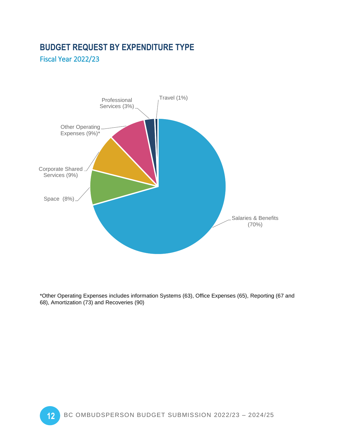# <span id="page-13-0"></span>**BUDGET REQUEST BY EXPENDITURE TYPE**

<span id="page-13-1"></span>Fiscal Year 2022/23



\*Other Operating Expenses includes information Systems (63), Office Expenses (65), Reporting (67 and 68), Amortization (73) and Recoveries (90)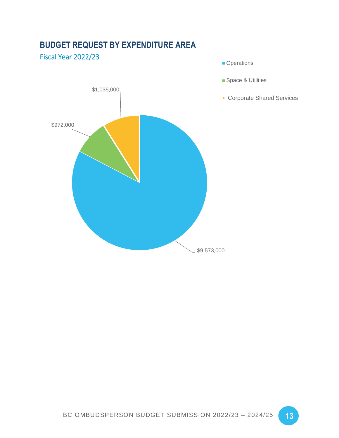

# <span id="page-14-0"></span>**BUDGET REQUEST BY EXPENDITURE AREA**

<span id="page-14-1"></span>Fiscal Year 2022/23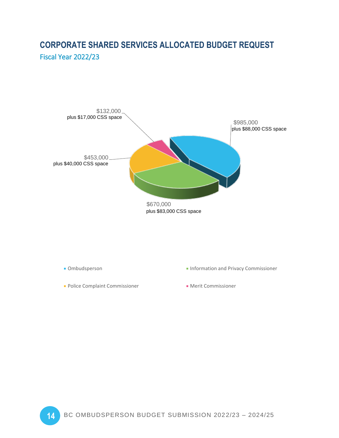# <span id="page-15-1"></span><span id="page-15-0"></span>**CORPORATE SHARED SERVICES ALLOCATED BUDGET REQUEST** Fiscal Year 2022/23



- 
- **Police Complaint Commissioner Commissioner** Merit Commissioner
- **Dumbudsperson Information and Privacy Commissioner** 
	-